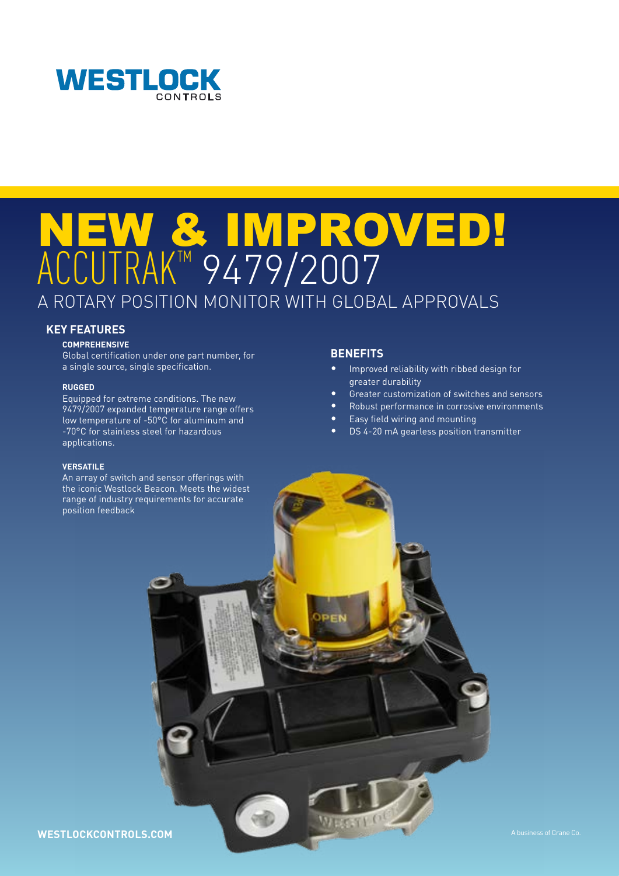

# NEW & IMPROVED! ACCUTRAK™ 9479/2007 A ROTARY POSITION MONITOR WITH GLOBAL APPROVALS

### **KEY FEATURES**

#### **COMPREHENSIVE**

Global certification under one part number, for a single source, single specification.

#### **RUGGED**

Equipped for extreme conditions. The new 9479/2007 expanded temperature range offers low temperature of -50°C for aluminum and -70°C for stainless steel for hazardous applications.

#### **VERSATILE**

An array of switch and sensor offerings with the iconic Westlock Beacon. Meets the widest range of industry requirements for accurate position feedback

## **BENEFITS**

- Improved reliability with ribbed design for greater durability
- Greater customization of switches and sensors
- Robust performance in corrosive environments
- Easy field wiring and mounting
- DS 4-20 mA gearless position transmitter